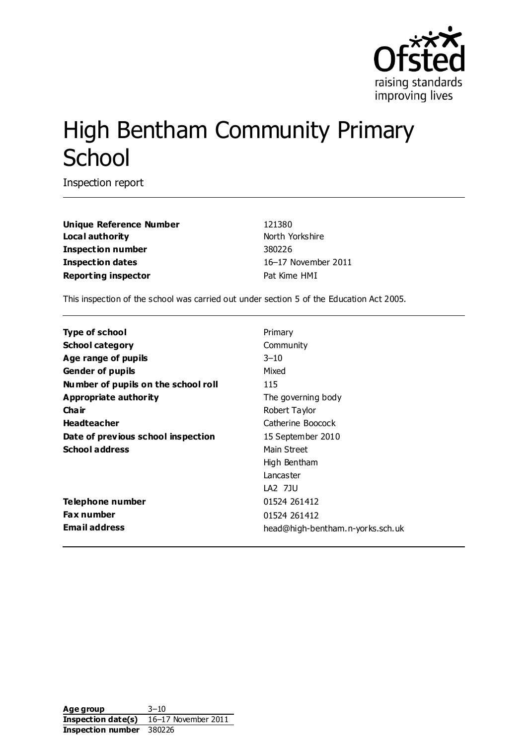

# High Bentham Community Primary **School**

Inspection report

**Unique Reference Number** 121380 **Local authority** North Yorkshire **Inspection number** 380226 **Inspection dates** 16–17 November 2011 **Reporting inspector Pat Kime HMI** 

This inspection of the school was carried out under section 5 of the Education Act 2005.

| Type of school                      | Primary                          |
|-------------------------------------|----------------------------------|
| <b>School category</b>              | Community                        |
| Age range of pupils                 | $3 - 10$                         |
| <b>Gender of pupils</b>             | Mixed                            |
| Number of pupils on the school roll | 115                              |
| Appropriate authority               | The governing body               |
| Cha ir                              | Robert Taylor                    |
| <b>Headteacher</b>                  | Catherine Boocock                |
| Date of previous school inspection  | 15 September 2010                |
| <b>School address</b>               | Main Street                      |
|                                     | High Bentham                     |
|                                     | Lancaster                        |
|                                     | LA2 7JU                          |
| Telephone number                    | 01524 261412                     |
| <b>Fax number</b>                   | 01524 261412                     |
| <b>Email address</b>                | head@high-bentham.n-yorks.sch.uk |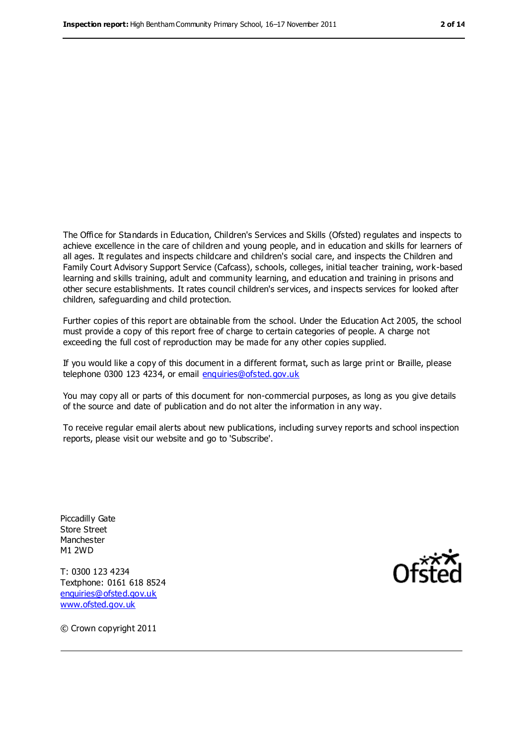The Office for Standards in Education, Children's Services and Skills (Ofsted) regulates and inspects to achieve excellence in the care of children and young people, and in education and skills for learners of all ages. It regulates and inspects childcare and children's social care, and inspects the Children and Family Court Advisory Support Service (Cafcass), schools, colleges, initial teacher training, work-based learning and skills training, adult and community learning, and education and training in prisons and other secure establishments. It rates council children's services, and inspects services for looked after children, safeguarding and child protection.

Further copies of this report are obtainable from the school. Under the Education Act 2005, the school must provide a copy of this report free of charge to certain categories of people. A charge not exceeding the full cost of reproduction may be made for any other copies supplied.

If you would like a copy of this document in a different format, such as large print or Braille, please telephone 0300 123 4234, or email [enquiries@ofsted.gov.uk](mailto:enquiries@ofsted.gov.uk)

You may copy all or parts of this document for non-commercial purposes, as long as you give details of the source and date of publication and do not alter the information in any way.

To receive regular email alerts about new publications, including survey reports and school inspection reports, please visit our website and go to 'Subscribe'.

Piccadilly Gate Store Street Manchester M1 2WD

T: 0300 123 4234 Textphone: 0161 618 8524 [enquiries@ofsted.gov.uk](mailto:enquiries@ofsted.gov.uk) [www.ofsted.gov.uk](http://www.ofsted.gov.uk/)



© Crown copyright 2011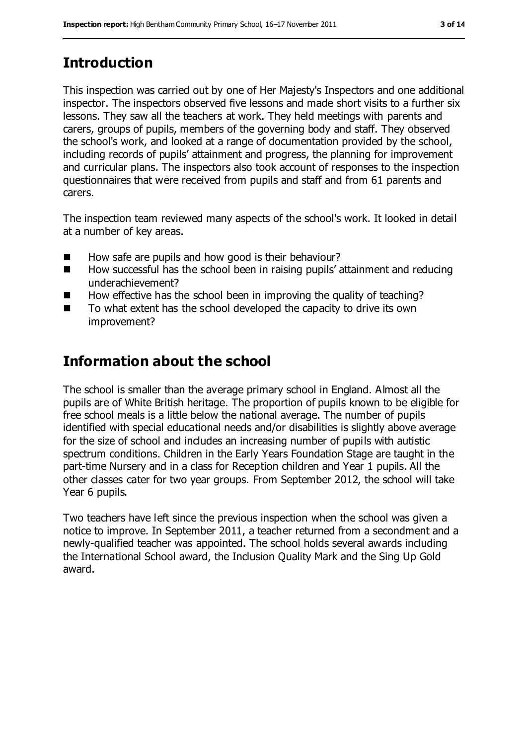## **Introduction**

This inspection was carried out by one of Her Majesty's Inspectors and one additional inspector. The inspectors observed five lessons and made short visits to a further six lessons. They saw all the teachers at work. They held meetings with parents and carers, groups of pupils, members of the governing body and staff. They observed the school's work, and looked at a range of documentation provided by the school, including records of pupils' attainment and progress, the planning for improvement and curricular plans. The inspectors also took account of responses to the inspection questionnaires that were received from pupils and staff and from 61 parents and carers.

The inspection team reviewed many aspects of the school's work. It looked in detail at a number of key areas.

- How safe are pupils and how good is their behaviour?
- How successful has the school been in raising pupils' attainment and reducing underachievement?
- How effective has the school been in improving the quality of teaching?
- $\blacksquare$  To what extent has the school developed the capacity to drive its own improvement?

#### **Information about the school**

The school is smaller than the average primary school in England. Almost all the pupils are of White British heritage. The proportion of pupils known to be eligible for free school meals is a little below the national average. The number of pupils identified with special educational needs and/or disabilities is slightly above average for the size of school and includes an increasing number of pupils with autistic spectrum conditions. Children in the Early Years Foundation Stage are taught in the part-time Nursery and in a class for Reception children and Year 1 pupils. All the other classes cater for two year groups. From September 2012, the school will take Year 6 pupils.

Two teachers have left since the previous inspection when the school was given a notice to improve. In September 2011, a teacher returned from a secondment and a newly-qualified teacher was appointed. The school holds several awards including the International School award, the Inclusion Quality Mark and the Sing Up Gold award.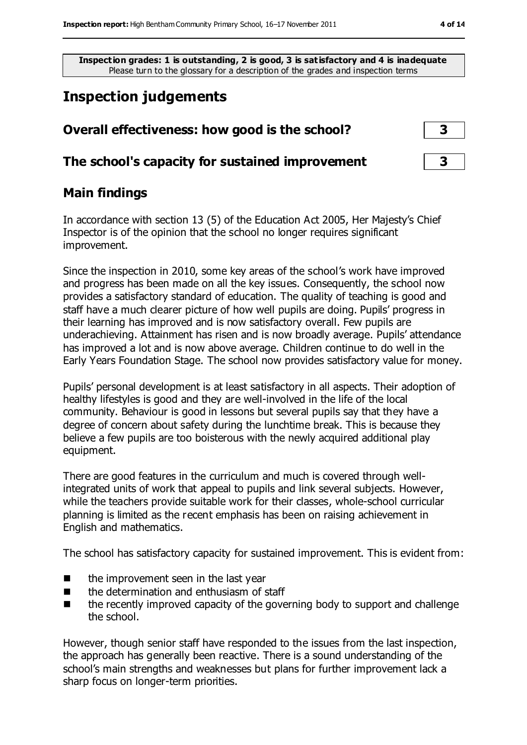**Inspection grades: 1 is outstanding, 2 is good, 3 is satisfactory and 4 is inadequate** Please turn to the glossary for a description of the grades and inspection terms

### **Inspection judgements**

| Overall effectiveness: how good is the school?  | $\mathbf{3}$            |
|-------------------------------------------------|-------------------------|
| The school's capacity for sustained improvement | $\overline{\mathbf{3}}$ |

#### **Main findings**

In accordance with section 13 (5) of the Education Act 2005, Her Majesty's Chief Inspector is of the opinion that the school no longer requires significant improvement.

Since the inspection in 2010, some key areas of the school's work have improved and progress has been made on all the key issues. Consequently, the school now provides a satisfactory standard of education. The quality of teaching is good and staff have a much clearer picture of how well pupils are doing. Pupils' progress in their learning has improved and is now satisfactory overall. Few pupils are underachieving. Attainment has risen and is now broadly average. Pupils' attendance has improved a lot and is now above average. Children continue to do well in the Early Years Foundation Stage. The school now provides satisfactory value for money.

Pupils' personal development is at least satisfactory in all aspects. Their adoption of healthy lifestyles is good and they are well-involved in the life of the local community. Behaviour is good in lessons but several pupils say that they have a degree of concern about safety during the lunchtime break. This is because they believe a few pupils are too boisterous with the newly acquired additional play equipment.

There are good features in the curriculum and much is covered through wellintegrated units of work that appeal to pupils and link several subjects. However, while the teachers provide suitable work for their classes, whole-school curricular planning is limited as the recent emphasis has been on raising achievement in English and mathematics.

The school has satisfactory capacity for sustained improvement. This is evident from:

- $\blacksquare$  the improvement seen in the last year
- $\blacksquare$  the determination and enthusiasm of staff
- $\blacksquare$  the recently improved capacity of the governing body to support and challenge the school.

However, though senior staff have responded to the issues from the last inspection, the approach has generally been reactive. There is a sound understanding of the school's main strengths and weaknesses but plans for further improvement lack a sharp focus on longer-term priorities.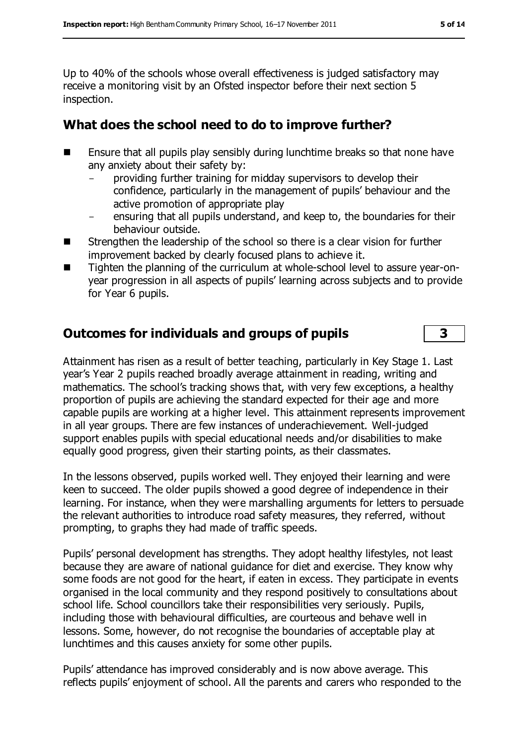Up to 40% of the schools whose overall effectiveness is judged satisfactory may receive a monitoring visit by an Ofsted inspector before their next section 5 inspection.

#### **What does the school need to do to improve further?**

- Ensure that all pupils play sensibly during lunchtime breaks so that none have any anxiety about their safety by:
	- providing further training for midday supervisors to develop their confidence, particularly in the management of pupils' behaviour and the active promotion of appropriate play
	- ensuring that all pupils understand, and keep to, the boundaries for their behaviour outside.
- Strengthen the leadership of the school so there is a clear vision for further improvement backed by clearly focused plans to achieve it.
- Tighten the planning of the curriculum at whole-school level to assure year-onyear progression in all aspects of pupils' learning across subjects and to provide for Year 6 pupils.

#### **Outcomes for individuals and groups of pupils 3**

Attainment has risen as a result of better teaching, particularly in Key Stage 1. Last year's Year 2 pupils reached broadly average attainment in reading, writing and mathematics. The school's tracking shows that, with very few exceptions, a healthy proportion of pupils are achieving the standard expected for their age and more capable pupils are working at a higher level. This attainment represents improvement in all year groups. There are few instances of underachievement. Well-judged support enables pupils with special educational needs and/or disabilities to make equally good progress, given their starting points, as their classmates.

In the lessons observed, pupils worked well. They enjoyed their learning and were keen to succeed. The older pupils showed a good degree of independence in their learning. For instance, when they were marshalling arguments for letters to persuade the relevant authorities to introduce road safety measures, they referred, without prompting, to graphs they had made of traffic speeds.

Pupils' personal development has strengths. They adopt healthy lifestyles, not least because they are aware of national guidance for diet and exercise. They know why some foods are not good for the heart, if eaten in excess. They participate in events organised in the local community and they respond positively to consultations about school life. School councillors take their responsibilities very seriously. Pupils, including those with behavioural difficulties, are courteous and behave well in lessons. Some, however, do not recognise the boundaries of acceptable play at lunchtimes and this causes anxiety for some other pupils.

Pupils' attendance has improved considerably and is now above average. This reflects pupils' enjoyment of school. All the parents and carers who responded to the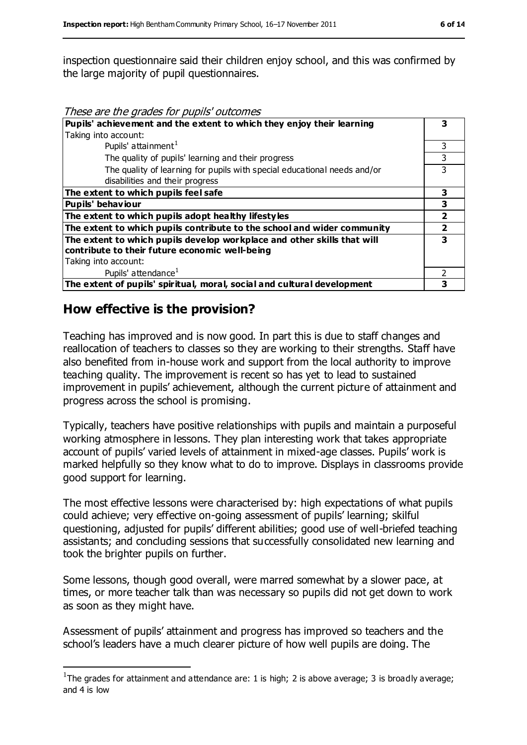inspection questionnaire said their children enjoy school, and this was confirmed by the large majority of pupil questionnaires.

These are the grades for pupils' outcomes

| Pupils' achievement and the extent to which they enjoy their learning    |   |
|--------------------------------------------------------------------------|---|
| Taking into account:                                                     |   |
| Pupils' attainment <sup>1</sup>                                          | 3 |
| The quality of pupils' learning and their progress                       |   |
| The quality of learning for pupils with special educational needs and/or | 3 |
| disabilities and their progress                                          |   |
| The extent to which pupils feel safe                                     | 3 |
| Pupils' behaviour                                                        | 3 |
| The extent to which pupils adopt healthy lifestyles                      | 2 |
| The extent to which pupils contribute to the school and wider community  |   |
| The extent to which pupils develop workplace and other skills that will  | 3 |
| contribute to their future economic well-being                           |   |
| Taking into account:                                                     |   |
| Pupils' attendance <sup>1</sup>                                          |   |
| The extent of pupils' spiritual, moral, social and cultural development  |   |

#### **How effective is the provision?**

 $\overline{a}$ 

Teaching has improved and is now good. In part this is due to staff changes and reallocation of teachers to classes so they are working to their strengths. Staff have also benefited from in-house work and support from the local authority to improve teaching quality. The improvement is recent so has yet to lead to sustained improvement in pupils' achievement, although the current picture of attainment and progress across the school is promising.

Typically, teachers have positive relationships with pupils and maintain a purposeful working atmosphere in lessons. They plan interesting work that takes appropriate account of pupils' varied levels of attainment in mixed-age classes. Pupils' work is marked helpfully so they know what to do to improve. Displays in classrooms provide good support for learning.

The most effective lessons were characterised by: high expectations of what pupils could achieve; very effective on-going assessment of pupils' learning; skilful questioning, adjusted for pupils' different abilities; good use of well-briefed teaching assistants; and concluding sessions that successfully consolidated new learning and took the brighter pupils on further.

Some lessons, though good overall, were marred somewhat by a slower pace, at times, or more teacher talk than was necessary so pupils did not get down to work as soon as they might have.

Assessment of pupils' attainment and progress has improved so teachers and the school's leaders have a much clearer picture of how well pupils are doing. The

<sup>&</sup>lt;sup>1</sup>The grades for attainment and attendance are: 1 is high; 2 is above average; 3 is broadly average; and 4 is low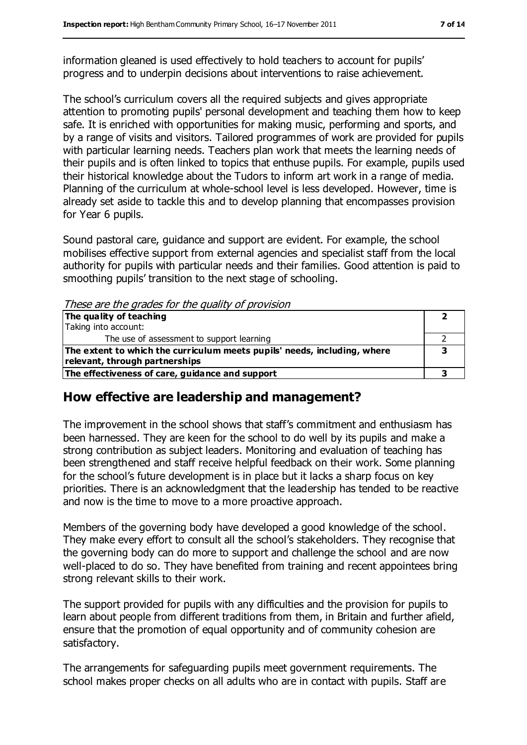information gleaned is used effectively to hold teachers to account for pupils' progress and to underpin decisions about interventions to raise achievement.

The school's curriculum covers all the required subjects and gives appropriate attention to promoting pupils' personal development and teaching them how to keep safe. It is enriched with opportunities for making music, performing and sports, and by a range of visits and visitors. Tailored programmes of work are provided for pupils with particular learning needs. Teachers plan work that meets the learning needs of their pupils and is often linked to topics that enthuse pupils. For example, pupils used their historical knowledge about the Tudors to inform art work in a range of media. Planning of the curriculum at whole-school level is less developed. However, time is already set aside to tackle this and to develop planning that encompasses provision for Year 6 pupils.

Sound pastoral care, guidance and support are evident. For example, the school mobilises effective support from external agencies and specialist staff from the local authority for pupils with particular needs and their families. Good attention is paid to smoothing pupils' transition to the next stage of schooling.

These are the grades for the quality of provision

| The quality of teaching                                                  |  |
|--------------------------------------------------------------------------|--|
| Taking into account:                                                     |  |
| The use of assessment to support learning                                |  |
| The extent to which the curriculum meets pupils' needs, including, where |  |
| relevant, through partnerships                                           |  |
| The effectiveness of care, guidance and support                          |  |

#### **How effective are leadership and management?**

The improvement in the school shows that staff's commitment and enthusiasm has been harnessed. They are keen for the school to do well by its pupils and make a strong contribution as subject leaders. Monitoring and evaluation of teaching has been strengthened and staff receive helpful feedback on their work. Some planning for the school's future development is in place but it lacks a sharp focus on key priorities. There is an acknowledgment that the leadership has tended to be reactive and now is the time to move to a more proactive approach.

Members of the governing body have developed a good knowledge of the school. They make every effort to consult all the school's stakeholders. They recognise that the governing body can do more to support and challenge the school and are now well-placed to do so. They have benefited from training and recent appointees bring strong relevant skills to their work.

The support provided for pupils with any difficulties and the provision for pupils to learn about people from different traditions from them, in Britain and further afield, ensure that the promotion of equal opportunity and of community cohesion are satisfactory.

The arrangements for safeguarding pupils meet government requirements. The school makes proper checks on all adults who are in contact with pupils. Staff are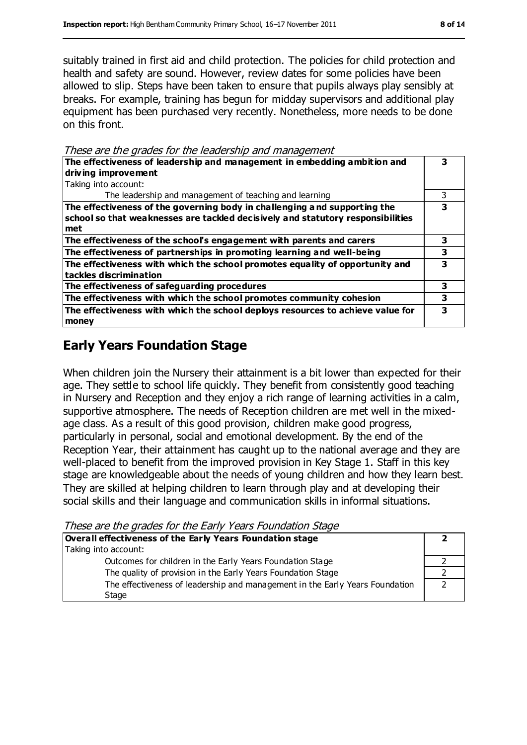suitably trained in first aid and child protection. The policies for child protection and health and safety are sound. However, review dates for some policies have been allowed to slip. Steps have been taken to ensure that pupils always play sensibly at breaks. For example, training has begun for midday supervisors and additional play equipment has been purchased very recently. Nonetheless, more needs to be done on this front.

These are the grades for the leadership and management

| The effectiveness of leadership and management in embedding ambition and<br>driving improvement                                                                     |   |  |
|---------------------------------------------------------------------------------------------------------------------------------------------------------------------|---|--|
| Taking into account:                                                                                                                                                |   |  |
| The leadership and management of teaching and learning                                                                                                              |   |  |
| The effectiveness of the governing body in challenging and supporting the<br>school so that weaknesses are tackled decisively and statutory responsibilities<br>met | 3 |  |
| The effectiveness of the school's engagement with parents and carers                                                                                                | 3 |  |
| The effectiveness of partnerships in promoting learning and well-being                                                                                              | з |  |
| The effectiveness with which the school promotes equality of opportunity and<br>tackles discrimination                                                              |   |  |
| The effectiveness of safeguarding procedures                                                                                                                        | 3 |  |
| The effectiveness with which the school promotes community cohesion                                                                                                 | 3 |  |
| The effectiveness with which the school deploys resources to achieve value for<br>money                                                                             |   |  |

#### **Early Years Foundation Stage**

When children join the Nursery their attainment is a bit lower than expected for their age. They settle to school life quickly. They benefit from consistently good teaching in Nursery and Reception and they enjoy a rich range of learning activities in a calm, supportive atmosphere. The needs of Reception children are met well in the mixedage class. As a result of this good provision, children make good progress, particularly in personal, social and emotional development. By the end of the Reception Year, their attainment has caught up to the national average and they are well-placed to benefit from the improved provision in Key Stage 1. Staff in this key stage are knowledgeable about the needs of young children and how they learn best. They are skilled at helping children to learn through play and at developing their social skills and their language and communication skills in informal situations.

These are the grades for the Early Years Foundation Stage

| Overall effectiveness of the Early Years Foundation stage                    |  |
|------------------------------------------------------------------------------|--|
| Taking into account:                                                         |  |
| Outcomes for children in the Early Years Foundation Stage                    |  |
| The quality of provision in the Early Years Foundation Stage                 |  |
| The effectiveness of leadership and management in the Early Years Foundation |  |
| Stage                                                                        |  |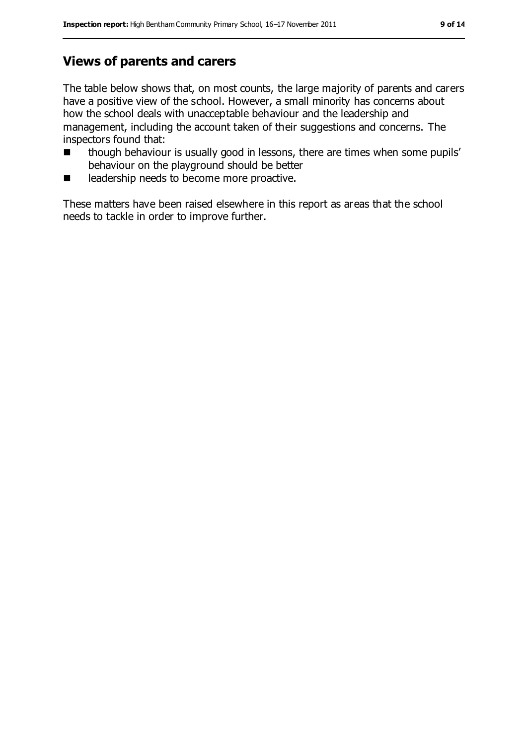#### **Views of parents and carers**

The table below shows that, on most counts, the large majority of parents and carers have a positive view of the school. However, a small minority has concerns about how the school deals with unacceptable behaviour and the leadership and management, including the account taken of their suggestions and concerns. The inspectors found that:

- though behaviour is usually good in lessons, there are times when some pupils' behaviour on the playground should be better
- leadership needs to become more proactive.

These matters have been raised elsewhere in this report as areas that the school needs to tackle in order to improve further.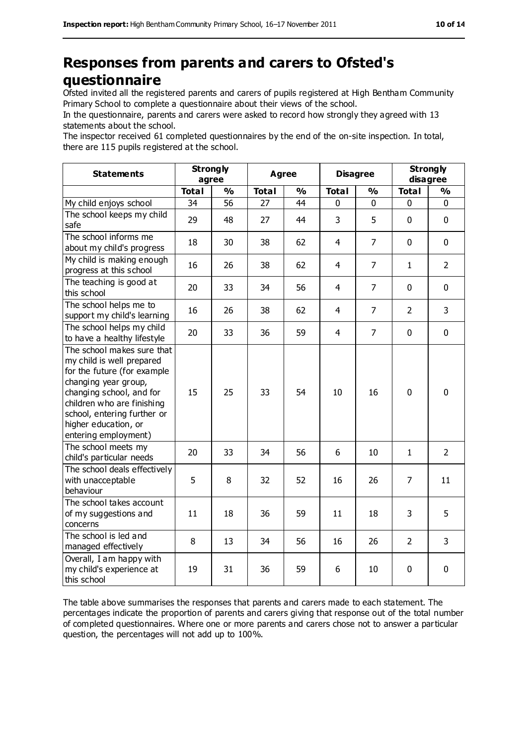#### **Responses from parents and carers to Ofsted's questionnaire**

Ofsted invited all the registered parents and carers of pupils registered at High Bentham Community Primary School to complete a questionnaire about their views of the school.

In the questionnaire, parents and carers were asked to record how strongly they agreed with 13 statements about the school.

The inspector received 61 completed questionnaires by the end of the on-site inspection. In total, there are 115 pupils registered at the school.

| <b>Statements</b>                                                                                                                                                                                                                                       | <b>Strongly</b><br>agree |               | <b>Agree</b> |               |                | <b>Disagree</b> |                | <b>Strongly</b><br>disagree |  |
|---------------------------------------------------------------------------------------------------------------------------------------------------------------------------------------------------------------------------------------------------------|--------------------------|---------------|--------------|---------------|----------------|-----------------|----------------|-----------------------------|--|
|                                                                                                                                                                                                                                                         | <b>Total</b>             | $\frac{0}{0}$ | <b>Total</b> | $\frac{0}{0}$ | <b>Total</b>   | $\frac{1}{2}$   | <b>Total</b>   | $\frac{0}{0}$               |  |
| My child enjoys school                                                                                                                                                                                                                                  | 34                       | 56            | 27           | 44            | 0              | 0               | 0              | 0                           |  |
| The school keeps my child<br>safe                                                                                                                                                                                                                       | 29                       | 48            | 27           | 44            | 3              | 5               | $\mathbf 0$    | $\mathbf 0$                 |  |
| The school informs me<br>about my child's progress                                                                                                                                                                                                      | 18                       | 30            | 38           | 62            | 4              | $\overline{7}$  | $\mathbf 0$    | $\mathbf 0$                 |  |
| My child is making enough<br>progress at this school                                                                                                                                                                                                    | 16                       | 26            | 38           | 62            | $\overline{4}$ | $\overline{7}$  | $\mathbf{1}$   | $\overline{2}$              |  |
| The teaching is good at<br>this school                                                                                                                                                                                                                  | 20                       | 33            | 34           | 56            | $\overline{4}$ | $\overline{7}$  | $\mathbf 0$    | $\mathbf 0$                 |  |
| The school helps me to<br>support my child's learning                                                                                                                                                                                                   | 16                       | 26            | 38           | 62            | $\overline{4}$ | $\overline{7}$  | $\overline{2}$ | 3                           |  |
| The school helps my child<br>to have a healthy lifestyle                                                                                                                                                                                                | 20                       | 33            | 36           | 59            | $\overline{4}$ | $\overline{7}$  | $\mathbf 0$    | $\mathbf 0$                 |  |
| The school makes sure that<br>my child is well prepared<br>for the future (for example<br>changing year group,<br>changing school, and for<br>children who are finishing<br>school, entering further or<br>higher education, or<br>entering employment) | 15                       | 25            | 33           | 54            | 10             | 16              | $\mathbf 0$    | $\mathbf 0$                 |  |
| The school meets my<br>child's particular needs                                                                                                                                                                                                         | 20                       | 33            | 34           | 56            | 6              | 10              | $\mathbf{1}$   | $\overline{2}$              |  |
| The school deals effectively<br>with unacceptable<br>behaviour                                                                                                                                                                                          | 5                        | 8             | 32           | 52            | 16             | 26              | 7              | 11                          |  |
| The school takes account<br>of my suggestions and<br>concerns                                                                                                                                                                                           | 11                       | 18            | 36           | 59            | 11             | 18              | 3              | 5                           |  |
| The school is led and<br>managed effectively                                                                                                                                                                                                            | 8                        | 13            | 34           | 56            | 16             | 26              | 2              | 3                           |  |
| Overall, I am happy with<br>my child's experience at<br>this school                                                                                                                                                                                     | 19                       | 31            | 36           | 59            | 6              | 10              | 0              | 0                           |  |

The table above summarises the responses that parents and carers made to each statement. The percentages indicate the proportion of parents and carers giving that response out of the total number of completed questionnaires. Where one or more parents and carers chose not to answer a particular question, the percentages will not add up to 100%.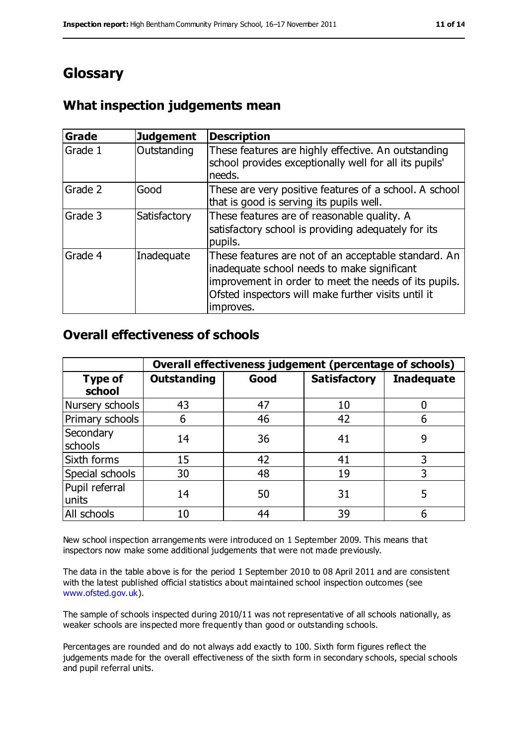#### **Glossary**

#### **What inspection judgements mean**

| Grade   | <b>Judgement</b> | <b>Description</b>                                                                                                                                                                                                               |
|---------|------------------|----------------------------------------------------------------------------------------------------------------------------------------------------------------------------------------------------------------------------------|
| Grade 1 | Outstanding      | These features are highly effective. An outstanding<br>school provides exceptionally well for all its pupils'<br>needs.                                                                                                          |
| Grade 2 | Good             | These are very positive features of a school. A school<br>that is good is serving its pupils well.                                                                                                                               |
| Grade 3 | Satisfactory     | These features are of reasonable quality. A<br>satisfactory school is providing adequately for its<br>pupils.                                                                                                                    |
| Grade 4 | Inadequate       | These features are not of an acceptable standard. An<br>inadequate school needs to make significant<br>improvement in order to meet the needs of its pupils.<br>Ofsted inspectors will make further visits until it<br>improves. |

#### **Overall effectiveness of schools**

|                          | Overall effectiveness judgement (percentage of schools) |      |                     |                   |
|--------------------------|---------------------------------------------------------|------|---------------------|-------------------|
| <b>Type of</b><br>school | <b>Outstanding</b>                                      | Good | <b>Satisfactory</b> | <b>Inadequate</b> |
| Nursery schools          | 43                                                      | 47   | 10                  |                   |
| Primary schools          | 6                                                       | 46   | 42                  |                   |
| Secondary<br>schools     | 14                                                      | 36   | 41                  | 9                 |
| Sixth forms              | 15                                                      | 42   | 41                  | 3                 |
| Special schools          | 30                                                      | 48   | 19                  | 3                 |
| Pupil referral<br>units  | 14                                                      | 50   | 31                  |                   |
| All schools              | 10                                                      | 44   | 39                  |                   |

New school inspection arrangements were introduced on 1 September 2009. This means that inspectors now make some additional judgements that were not made previously.

The data in the table above is for the period 1 September 2010 to 08 April 2011 and are consistent with the latest published official statistics about maintained school inspection outcomes (see [www.ofsted.gov.uk\)](http://www.ofsted.gov.uk/).

The sample of schools inspected during 2010/11 was not representative of all schools nationally, as weaker schools are inspected more frequently than good or outstanding schools.

Percentages are rounded and do not always add exactly to 100. Sixth form figures reflect the judgements made for the overall effectiveness of the sixth form in secondary schools, special schools and pupil referral units.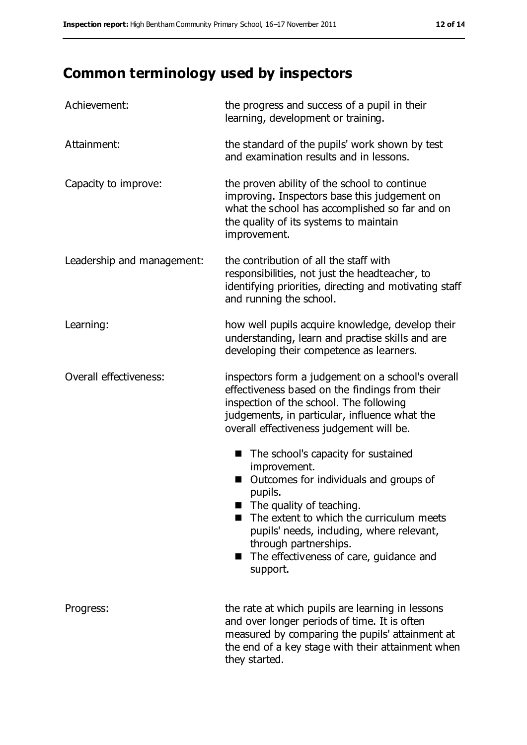## **Common terminology used by inspectors**

| Achievement:               | the progress and success of a pupil in their<br>learning, development or training.                                                                                                                                                                                                                                                |
|----------------------------|-----------------------------------------------------------------------------------------------------------------------------------------------------------------------------------------------------------------------------------------------------------------------------------------------------------------------------------|
| Attainment:                | the standard of the pupils' work shown by test<br>and examination results and in lessons.                                                                                                                                                                                                                                         |
| Capacity to improve:       | the proven ability of the school to continue<br>improving. Inspectors base this judgement on<br>what the school has accomplished so far and on<br>the quality of its systems to maintain<br>improvement.                                                                                                                          |
| Leadership and management: | the contribution of all the staff with<br>responsibilities, not just the headteacher, to<br>identifying priorities, directing and motivating staff<br>and running the school.                                                                                                                                                     |
| Learning:                  | how well pupils acquire knowledge, develop their<br>understanding, learn and practise skills and are<br>developing their competence as learners.                                                                                                                                                                                  |
| Overall effectiveness:     | inspectors form a judgement on a school's overall<br>effectiveness based on the findings from their<br>inspection of the school. The following<br>judgements, in particular, influence what the<br>overall effectiveness judgement will be.                                                                                       |
|                            | The school's capacity for sustained<br>■<br>improvement.<br>Outcomes for individuals and groups of<br>pupils.<br>$\blacksquare$ The quality of teaching.<br>The extent to which the curriculum meets<br>pupils' needs, including, where relevant,<br>through partnerships.<br>The effectiveness of care, guidance and<br>support. |
| Progress:                  | the rate at which pupils are learning in lessons<br>and over longer periods of time. It is often<br>measured by comparing the pupils' attainment at<br>the end of a key stage with their attainment when<br>they started.                                                                                                         |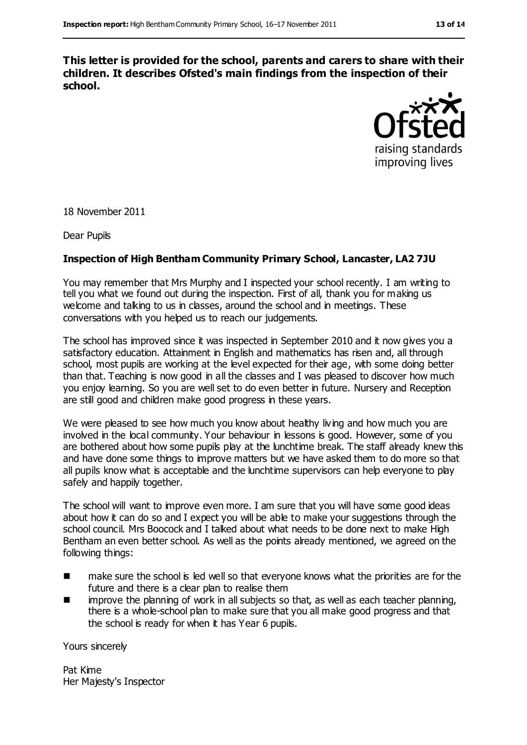**This letter is provided for the school, parents and carers to share with their children. It describes Ofsted's main findings from the inspection of their school.**



18 November 2011

Dear Pupils

#### **Inspection of High Bentham Community Primary School, Lancaster, LA2 7JU**

You may remember that Mrs Murphy and I inspected your school recently. I am writing to tell you what we found out during the inspection. First of all, thank you for making us welcome and talking to us in classes, around the school and in meetings. These conversations with you helped us to reach our judgements.

The school has improved since it was inspected in September 2010 and it now gives you a satisfactory education. Attainment in English and mathematics has risen and, all through school, most pupils are working at the level expected for their age, with some doing better than that. Teaching is now good in all the classes and I was pleased to discover how much you enjoy learning. So you are well set to do even better in future. Nursery and Reception are still good and children make good progress in these years.

We were pleased to see how much you know about healthy living and how much you are involved in the local community. Your behaviour in lessons is good. However, some of you are bothered about how some pupils play at the lunchtime break. The staff already knew this and have done some things to improve matters but we have asked them to do more so that all pupils know what is acceptable and the lunchtime supervisors can help everyone to play safely and happily together.

The school will want to improve even more. I am sure that you will have some good ideas about how it can do so and I expect you will be able to make your suggestions through the school council. Mrs Boocock and I talked about what needs to be done next to make High Bentham an even better school. As well as the points already mentioned, we agreed on the following things:

- **numake sure the school is led well so that everyone knows what the priorities are for the** future and there is a clear plan to realise them
- $\blacksquare$  improve the planning of work in all subjects so that, as well as each teacher planning, there is a whole-school plan to make sure that you all make good progress and that the school is ready for when it has Year 6 pupils.

Yours sincerely

Pat Kime Her Majesty's Inspector